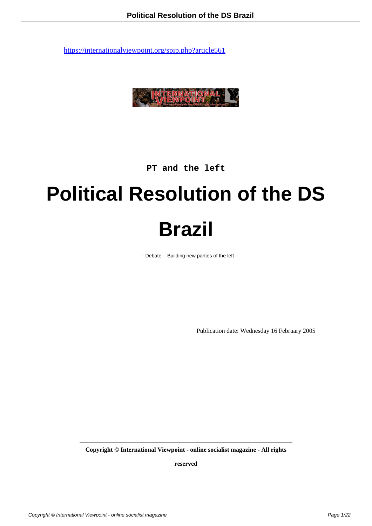

**PT and the left**

# **Political Resolution of the DS Brazil**

- Debate - Building new parties of the left -

Publication date: Wednesday 16 February 2005

**Copyright © International Viewpoint - online socialist magazine - All rights**

**reserved**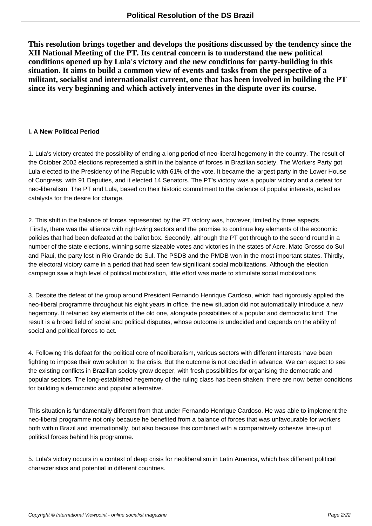**This resolution brings together and develops the positions discussed by the tendency since the XII National Meeting of the PT. Its central concern is to understand the new political conditions opened up by Lula's victory and the new conditions for party-building in this situation. It aims to build a common view of events and tasks from the perspective of a militant, socialist and internationalist current, one that has been involved in building the PT since its very beginning and which actively intervenes in the dispute over its course.**

#### **I. A New Political Period**

1. Lula's victory created the possibility of ending a long period of neo-liberal hegemony in the country. The result of the October 2002 elections represented a shift in the balance of forces in Brazilian society. The Workers Party got Lula elected to the Presidency of the Republic with 61% of the vote. It became the largest party in the Lower House of Congress, with 91 Deputies, and it elected 14 Senators. The PT's victory was a popular victory and a defeat for neo-liberalism. The PT and Lula, based on their historic commitment to the defence of popular interests, acted as catalysts for the desire for change.

2. This shift in the balance of forces represented by the PT victory was, however, limited by three aspects. Firstly, there was the alliance with right-wing sectors and the promise to continue key elements of the economic policies that had been defeated at the ballot box. Secondly, although the PT got through to the second round in a number of the state elections, winning some sizeable votes and victories in the states of Acre, Mato Grosso do Sul and Piaui, the party lost in Rio Grande do Sul. The PSDB and the PMDB won in the most important states. Thirdly, the electoral victory came in a period that had seen few significant social mobilizations. Although the election campaign saw a high level of political mobilization, little effort was made to stimulate social mobilizations

3. Despite the defeat of the group around President Fernando Henrique Cardoso, which had rigorously applied the neo-liberal programme throughout his eight years in office, the new situation did not automatically introduce a new hegemony. It retained key elements of the old one, alongside possibilities of a popular and democratic kind. The result is a broad field of social and political disputes, whose outcome is undecided and depends on the ability of social and political forces to act.

4. Following this defeat for the political core of neoliberalism, various sectors with different interests have been fighting to impose their own solution to the crisis. But the outcome is not decided in advance. We can expect to see the existing conflicts in Brazilian society grow deeper, with fresh possibilities for organising the democratic and popular sectors. The long-established hegemony of the ruling class has been shaken; there are now better conditions for building a democratic and popular alternative.

This situation is fundamentally different from that under Fernando Henrique Cardoso. He was able to implement the neo-liberal programme not only because he benefited from a balance of forces that was unfavourable for workers both within Brazil and internationally, but also because this combined with a comparatively cohesive line-up of political forces behind his programme.

5. Lula's victory occurs in a context of deep crisis for neoliberalism in Latin America, which has different political characteristics and potential in different countries.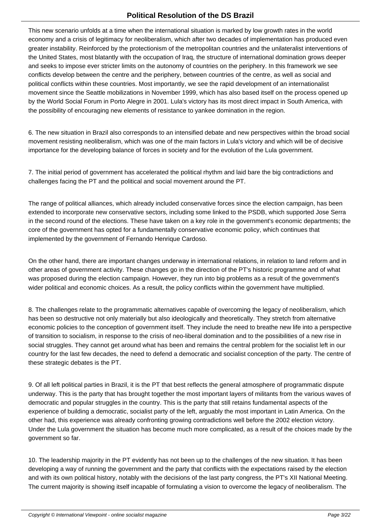This new scenario unfolds at a time when the international situation is marked by low growth rates in the world economy and a crisis of legitimacy for neoliberalism, which after two decades of implementation has produced even greater instability. Reinforced by the protectionism of the metropolitan countries and the unilateralist interventions of the United States, most blatantly with the occupation of Iraq, the structure of international domination grows deeper and seeks to impose ever stricter limits on the autonomy of countries on the periphery. In this framework we see conflicts develop between the centre and the periphery, between countries of the centre, as well as social and political conflicts within these countries. Most importantly, we see the rapid development of an internationalist movement since the Seattle mobilizations in November 1999, which has also based itself on the process opened up by the World Social Forum in Porto Alegre in 2001. Lula's victory has its most direct impact in South America, with the possibility of encouraging new elements of resistance to yankee domination in the region.

6. The new situation in Brazil also corresponds to an intensified debate and new perspectives within the broad social movement resisting neoliberalism, which was one of the main factors in Lula's victory and which will be of decisive importance for the developing balance of forces in society and for the evolution of the Lula government.

7. The initial period of government has accelerated the political rhythm and laid bare the big contradictions and challenges facing the PT and the political and social movement around the PT.

The range of political alliances, which already included conservative forces since the election campaign, has been extended to incorporate new conservative sectors, including some linked to the PSDB, which supported Jose Serra in the second round of the elections. These have taken on a key role in the government's economic departments; the core of the government has opted for a fundamentally conservative economic policy, which continues that implemented by the government of Fernando Henrique Cardoso.

On the other hand, there are important changes underway in international relations, in relation to land reform and in other areas of government activity. These changes go in the direction of the PT's historic programme and of what was proposed during the election campaign. However, they run into big problems as a result of the government's wider political and economic choices. As a result, the policy conflicts within the government have multiplied.

8. The challenges relate to the programmatic alternatives capable of overcoming the legacy of neoliberalism, which has been so destructive not only materially but also ideologically and theoretically. They stretch from alternative economic policies to the conception of government itself. They include the need to breathe new life into a perspective of transition to socialism, in response to the crisis of neo-liberal domination and to the possibilities of a new rise in social struggles. They cannot get around what has been and remains the central problem for the socialist left in our country for the last few decades, the need to defend a democratic and socialist conception of the party. The centre of these strategic debates is the PT.

9. Of all left political parties in Brazil, it is the PT that best reflects the general atmosphere of programmatic dispute underway. This is the party that has brought together the most important layers of militants from the various waves of democratic and popular struggles in the country. This is the party that still retains fundamental aspects of the experience of building a democratic, socialist party of the left, arguably the most important in Latin America. On the other had, this experience was already confronting growing contradictions well before the 2002 election victory. Under the Lula government the situation has become much more complicated, as a result of the choices made by the government so far.

10. The leadership majority in the PT evidently has not been up to the challenges of the new situation. It has been developing a way of running the government and the party that conflicts with the expectations raised by the election and with its own political history, notably with the decisions of the last party congress, the PT's XII National Meeting. The current majority is showing itself incapable of formulating a vision to overcome the legacy of neoliberalism. The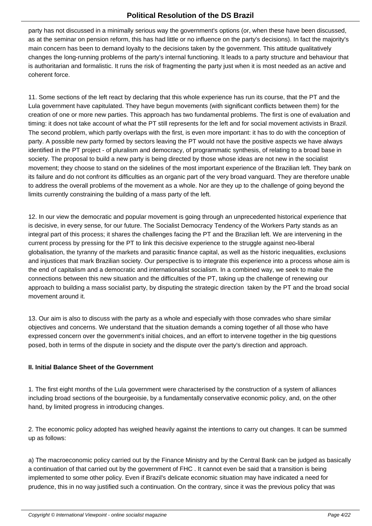party has not discussed in a minimally serious way the government's options (or, when these have been discussed, as at the seminar on pension reform, this has had little or no influence on the party's decisions). In fact the majority's main concern has been to demand loyalty to the decisions taken by the government. This attitude qualitatively changes the long-running problems of the party's internal functioning. It leads to a party structure and behaviour that is authoritarian and formalistic. It runs the risk of fragmenting the party just when it is most needed as an active and coherent force.

11. Some sections of the left react by declaring that this whole experience has run its course, that the PT and the Lula government have capitulated. They have begun movements (with significant conflicts between them) for the creation of one or more new parties. This approach has two fundamental problems. The first is one of evaluation and timing: it does not take account of what the PT still represents for the left and for social movement activists in Brazil. The second problem, which partly overlaps with the first, is even more important: it has to do with the conception of party. A possible new party formed by sectors leaving the PT would not have the positive aspects we have always identified in the PT project - of pluralism and democracy, of programmatic synthesis, of relating to a broad base in society. The proposal to build a new party is being directed by those whose ideas are not new in the socialist movement; they choose to stand on the sidelines of the most important experience of the Brazilian left. They bank on its failure and do not confront its difficulties as an organic part of the very broad vanguard. They are therefore unable to address the overall problems of the movement as a whole. Nor are they up to the challenge of going beyond the limits currently constraining the building of a mass party of the left.

12. In our view the democratic and popular movement is going through an unprecedented historical experience that is decisive, in every sense, for our future. The Socialist Democracy Tendency of the Workers Party stands as an integral part of this process; it shares the challenges facing the PT and the Brazilian left. We are intervening in the current process by pressing for the PT to link this decisive experience to the struggle against neo-liberal globalisation, the tyranny of the markets and parasitic finance capital, as well as the historic inequalities, exclusions and injustices that mark Brazilian society. Our perspective is to integrate this experience into a process whose aim is the end of capitalism and a democratic and internationalist socialism. In a combined way, we seek to make the connections between this new situation and the difficulties of the PT, taking up the challenge of renewing our approach to building a mass socialist party, by disputing the strategic direction taken by the PT and the broad social movement around it.

13. Our aim is also to discuss with the party as a whole and especially with those comrades who share similar objectives and concerns. We understand that the situation demands a coming together of all those who have expressed concern over the government's initial choices, and an effort to intervene together in the big questions posed, both in terms of the dispute in society and the dispute over the party's direction and approach.

# **II. Initial Balance Sheet of the Government**

1. The first eight months of the Lula government were characterised by the construction of a system of alliances including broad sections of the bourgeoisie, by a fundamentally conservative economic policy, and, on the other hand, by limited progress in introducing changes.

2. The economic policy adopted has weighed heavily against the intentions to carry out changes. It can be summed up as follows:

a) The macroeconomic policy carried out by the Finance Ministry and by the Central Bank can be judged as basically a continuation of that carried out by the government of FHC . It cannot even be said that a transition is being implemented to some other policy. Even if Brazil's delicate economic situation may have indicated a need for prudence, this in no way justified such a continuation. On the contrary, since it was the previous policy that was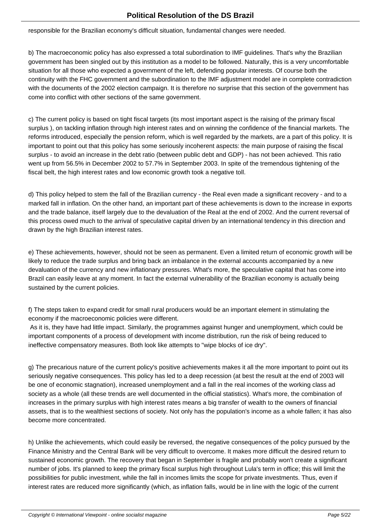responsible for the Brazilian economy's difficult situation, fundamental changes were needed.

b) The macroeconomic policy has also expressed a total subordination to IMF guidelines. That's why the Brazilian government has been singled out by this institution as a model to be followed. Naturally, this is a very uncomfortable situation for all those who expected a government of the left, defending popular interests. Of course both the continuity with the FHC government and the subordination to the IMF adjustment model are in complete contradiction with the documents of the 2002 election campaign. It is therefore no surprise that this section of the government has come into conflict with other sections of the same government.

c) The current policy is based on tight fiscal targets (its most important aspect is the raising of the primary fiscal surplus ), on tackling inflation through high interest rates and on winning the confidence of the financial markets. The reforms introduced, especially the pension reform, which is well regarded by the markets, are a part of this policy. It is important to point out that this policy has some seriously incoherent aspects: the main purpose of raising the fiscal surplus - to avoid an increase in the debt ratio (between public debt and GDP) - has not been achieved. This ratio went up from 56.5% in December 2002 to 57.7% in September 2003. In spite of the tremendous tightening of the fiscal belt, the high interest rates and low economic growth took a negative toll.

d) This policy helped to stem the fall of the Brazilian currency - the Real even made a significant recovery - and to a marked fall in inflation. On the other hand, an important part of these achievements is down to the increase in exports and the trade balance, itself largely due to the devaluation of the Real at the end of 2002. And the current reversal of this process owed much to the arrival of speculative capital driven by an international tendency in this direction and drawn by the high Brazilian interest rates.

e) These achievements, however, should not be seen as permanent. Even a limited return of economic growth will be likely to reduce the trade surplus and bring back an imbalance in the external accounts accompanied by a new devaluation of the currency and new inflationary pressures. What's more, the speculative capital that has come into Brazil can easily leave at any moment. In fact the external vulnerability of the Brazilian economy is actually being sustained by the current policies.

f) The steps taken to expand credit for small rural producers would be an important element in stimulating the economy if the macroeconomic policies were different.

 As it is, they have had little impact. Similarly, the programmes against hunger and unemployment, which could be important components of a process of development with income distribution, run the risk of being reduced to ineffective compensatory measures. Both look like attempts to "wipe blocks of ice dry".

g) The precarious nature of the current policy's positive achievements makes it all the more important to point out its seriously negative consequences. This policy has led to a deep recession (at best the result at the end of 2003 will be one of economic stagnation), increased unemployment and a fall in the real incomes of the working class ad society as a whole (all these trends are well documented in the official statistics). What's more, the combination of increases in the primary surplus with high interest rates means a big transfer of wealth to the owners of financial assets, that is to the wealthiest sections of society. Not only has the population's income as a whole fallen; it has also become more concentrated.

h) Unlike the achievements, which could easily be reversed, the negative consequences of the policy pursued by the Finance Ministry and the Central Bank will be very difficult to overcome. It makes more difficult the desired return to sustained economic growth. The recovery that began in September is fragile and probably won't create a significant number of jobs. It's planned to keep the primary fiscal surplus high throughout Lula's term in office; this will limit the possibilities for public investment, while the fall in incomes limits the scope for private investments. Thus, even if interest rates are reduced more significantly (which, as inflation falls, would be in line with the logic of the current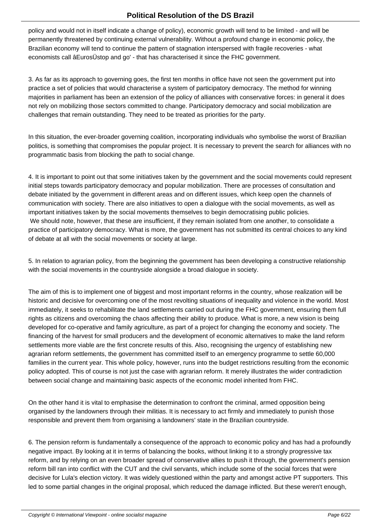policy and would not in itself indicate a change of policy), economic growth will tend to be limited - and will be permanently threatened by continuing external vulnerability. Without a profound change in economic policy, the Brazilian economy will tend to continue the pattern of stagnation interspersed with fragile recoveries - what economists call âEurosÜstop and go' - that has characterised it since the FHC government.

3. As far as its approach to governing goes, the first ten months in office have not seen the government put into practice a set of policies that would characterise a system of participatory democracy. The method for winning majorities in parliament has been an extension of the policy of alliances with conservative forces: in general it does not rely on mobilizing those sectors committed to change. Participatory democracy and social mobilization are challenges that remain outstanding. They need to be treated as priorities for the party.

In this situation, the ever-broader governing coalition, incorporating individuals who symbolise the worst of Brazilian politics, is something that compromises the popular project. It is necessary to prevent the search for alliances with no programmatic basis from blocking the path to social change.

4. It is important to point out that some initiatives taken by the government and the social movements could represent initial steps towards participatory democracy and popular mobilization. There are processes of consultation and debate initiated by the government in different areas and on different issues, which keep open the channels of communication with society. There are also initiatives to open a dialogue with the social movements, as well as important initiatives taken by the social movements themselves to begin democratising public policies. We should note, however, that these are insufficient, if they remain isolated from one another, to consolidate a practice of participatory democracy. What is more, the government has not submitted its central choices to any kind of debate at all with the social movements or society at large.

5. In relation to agrarian policy, from the beginning the government has been developing a constructive relationship with the social movements in the countryside alongside a broad dialogue in society.

The aim of this is to implement one of biggest and most important reforms in the country, whose realization will be historic and decisive for overcoming one of the most revolting situations of inequality and violence in the world. Most immediately, it seeks to rehabilitate the land settlements carried out during the FHC government, ensuring them full rights as citizens and overcoming the chaos affecting their ability to produce. What is more, a new vision is being developed for co-operative and family agriculture, as part of a project for changing the economy and society. The financing of the harvest for small producers and the development of economic alternatives to make the land reform settlements more viable are the first concrete results of this. Also, recognising the urgency of establishing new agrarian reform settlements, the government has committed itself to an emergency programme to settle 60,000 families in the current year. This whole policy, however, runs into the budget restrictions resulting from the economic policy adopted. This of course is not just the case with agrarian reform. It merely illustrates the wider contradiction between social change and maintaining basic aspects of the economic model inherited from FHC.

On the other hand it is vital to emphasise the determination to confront the criminal, armed opposition being organised by the landowners through their militias. It is necessary to act firmly and immediately to punish those responsible and prevent them from organising a landowners' state in the Brazilian countryside.

6. The pension reform is fundamentally a consequence of the approach to economic policy and has had a profoundly negative impact. By looking at it in terms of balancing the books, without linking it to a strongly progressive tax reform, and by relying on an even broader spread of conservative allies to push it through, the government's pension reform bill ran into conflict with the CUT and the civil servants, which include some of the social forces that were decisive for Lula's election victory. It was widely questioned within the party and amongst active PT supporters. This led to some partial changes in the original proposal, which reduced the damage inflicted. But these weren't enough,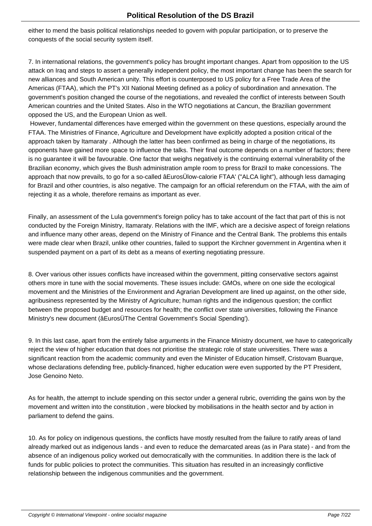either to mend the basis political relationships needed to govern with popular participation, or to preserve the conquests of the social security system itself.

7. In international relations, the government's policy has brought important changes. Apart from opposition to the US attack on Iraq and steps to assert a generally independent policy, the most important change has been the search for new alliances and South American unity. This effort is counterposed to US policy for a Free Trade Area of the Americas (FTAA), which the PT's XII National Meeting defined as a policy of subordination and annexation. The government's position changed the course of the negotiations, and revealed the conflict of interests between South American countries and the United States. Also in the WTO negotiations at Cancun, the Brazilian government opposed the US, and the European Union as well.

 However, fundamental differences have emerged within the government on these questions, especially around the FTAA. The Ministries of Finance, Agriculture and Development have explicitly adopted a position critical of the approach taken by Itamaraty . Although the latter has been confirmed as being in charge of the negotiations, its opponents have gained more space to influence the talks. Their final outcome depends on a number of factors; there is no guarantee it will be favourable. One factor that weighs negatively is the continuing external vulnerability of the Brazilian economy, which gives the Bush administration ample room to press for Brazil to make concessions. The approach that now prevails, to go for a so-called âEurosÜlow-calorie FTAA' ("ALCA light"), although less damaging for Brazil and other countries, is also negative. The campaign for an official referendum on the FTAA, with the aim of rejecting it as a whole, therefore remains as important as ever.

Finally, an assessment of the Lula government's foreign policy has to take account of the fact that part of this is not conducted by the Foreign Ministry, Itamaraty. Relations with the IMF, which are a decisive aspect of foreign relations and influence many other areas, depend on the Ministry of Finance and the Central Bank. The problems this entails were made clear when Brazil, unlike other countries, failed to support the Kirchner government in Argentina when it suspended payment on a part of its debt as a means of exerting negotiating pressure.

8. Over various other issues conflicts have increased within the government, pitting conservative sectors against others more in tune with the social movements. These issues include: GMOs, where on one side the ecological movement and the Ministries of the Environment and Agrarian Development are lined up against, on the other side, agribusiness represented by the Ministry of Agriculture; human rights and the indigenous question; the conflict between the proposed budget and resources for health; the conflict over state universities, following the Finance Ministry's new document (âEurosÜThe Central Government's Social Spending').

9. In this last case, apart from the entirely false arguments in the Finance Ministry document, we have to categorically reject the view of higher education that does not prioritise the strategic role of state universities. There was a significant reaction from the academic community and even the Minister of Education himself, Cristovam Buarque, whose declarations defending free, publicly-financed, higher education were even supported by the PT President, Jose Genoino Neto.

As for health, the attempt to include spending on this sector under a general rubric, overriding the gains won by the movement and written into the constitution , were blocked by mobilisations in the health sector and by action in parliament to defend the gains.

10. As for policy on indigenous questions, the conflicts have mostly resulted from the failure to ratify areas of land already marked out as indigenous lands - and even to reduce the demarcated areas (as in Para state) - and from the absence of an indigenous policy worked out democratically with the communities. In addition there is the lack of funds for public policies to protect the communities. This situation has resulted in an increasingly conflictive relationship between the indigenous communities and the government.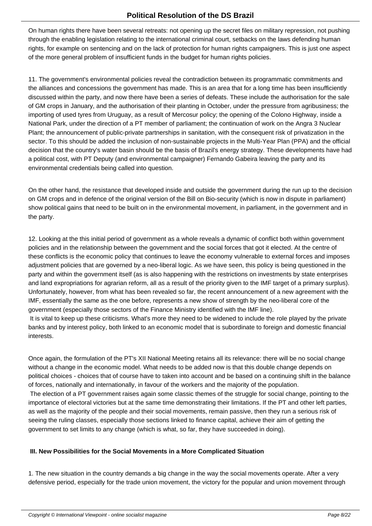On human rights there have been several retreats: not opening up the secret files on military repression, not pushing through the enabling legislation relating to the international criminal court, setbacks on the laws defending human rights, for example on sentencing and on the lack of protection for human rights campaigners. This is just one aspect of the more general problem of insufficient funds in the budget for human rights policies.

11. The government's environmental policies reveal the contradiction between its programmatic commitments and the alliances and concessions the government has made. This is an area that for a long time has been insufficiently discussed within the party, and now there have been a series of defeats. These include the authorisation for the sale of GM crops in January, and the authorisation of their planting in October, under the pressure from agribusiness; the importing of used tyres from Uruguay, as a result of Mercosur policy; the opening of the Colono Highway, inside a National Park, under the direction of a PT member of parliament; the continuation of work on the Angra 3 Nuclear Plant; the announcement of public-private partnerships in sanitation, with the consequent risk of privatization in the sector. To this should be added the inclusion of non-sustainable projects in the Multi-Year Plan (PPA) and the official decision that the country's water basin should be the basis of Brazil's energy strategy. These developments have had a political cost, with PT Deputy (and environmental campaigner) Fernando Gabeira leaving the party and its environmental credentials being called into question.

On the other hand, the resistance that developed inside and outside the government during the run up to the decision on GM crops and in defence of the original version of the Bill on Bio-security (which is now in dispute in parliament) show political gains that need to be built on in the environmental movement, in parliament, in the government and in the party.

12. Looking at the this initial period of government as a whole reveals a dynamic of conflict both within government policies and in the relationship between the government and the social forces that got it elected. At the centre of these conflicts is the economic policy that continues to leave the economy vulnerable to external forces and imposes adjustment policies that are governed by a neo-liberal logic. As we have seen, this policy is being questioned in the party and within the government itself (as is also happening with the restrictions on investments by state enterprises and land expropriations for agrarian reform, all as a result of the priority given to the IMF target of a primary surplus). Unfortunately, however, from what has been revealed so far, the recent announcement of a new agreement with the IMF, essentially the same as the one before, represents a new show of strength by the neo-liberal core of the government (especially those sectors of the Finance Ministry identified with the IMF line).

 It is vital to keep up these criticisms. What's more they need to be widened to include the role played by the private banks and by interest policy, both linked to an economic model that is subordinate to foreign and domestic financial interests.

Once again, the formulation of the PT's XII National Meeting retains all its relevance: there will be no social change without a change in the economic model. What needs to be added now is that this double change depends on political choices - choices that of course have to taken into account and be based on a continuing shift in the balance of forces, nationally and internationally, in favour of the workers and the majority of the population.

 The election of a PT government raises again some classic themes of the struggle for social change, pointing to the importance of electoral victories but at the same time demonstrating their limitations. If the PT and other left parties, as well as the majority of the people and their social movements, remain passive, then they run a serious risk of seeing the ruling classes, especially those sections linked to finance capital, achieve their aim of getting the government to set limits to any change (which is what, so far, they have succeeded in doing).

# **III. New Possibilities for the Social Movements in a More Complicated Situation**

1. The new situation in the country demands a big change in the way the social movements operate. After a very defensive period, especially for the trade union movement, the victory for the popular and union movement through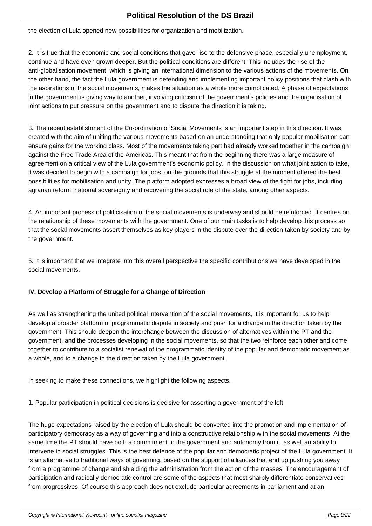the election of Lula opened new possibilities for organization and mobilization.

2. It is true that the economic and social conditions that gave rise to the defensive phase, especially unemployment, continue and have even grown deeper. But the political conditions are different. This includes the rise of the anti-globalisation movement, which is giving an international dimension to the various actions of the movements. On the other hand, the fact the Lula government is defending and implementing important policy positions that clash with the aspirations of the social movements, makes the situation as a whole more complicated. A phase of expectations in the government is giving way to another, involving criticism of the government's policies and the organisation of joint actions to put pressure on the government and to dispute the direction it is taking.

3. The recent establishment of the Co-ordination of Social Movements is an important step in this direction. It was created with the aim of uniting the various movements based on an understanding that only popular mobilisation can ensure gains for the working class. Most of the movements taking part had already worked together in the campaign against the Free Trade Area of the Americas. This meant that from the beginning there was a large measure of agreement on a critical view of the Lula government's economic policy. In the discussion on what joint action to take, it was decided to begin with a campaign for jobs, on the grounds that this struggle at the moment offered the best possibilities for mobilisation and unity. The platform adopted expresses a broad view of the fight for jobs, including agrarian reform, national sovereignty and recovering the social role of the state, among other aspects.

4. An important process of politicisation of the social movements is underway and should be reinforced. It centres on the relationship of these movements with the government. One of our main tasks is to help develop this process so that the social movements assert themselves as key players in the dispute over the direction taken by society and by the government.

5. It is important that we integrate into this overall perspective the specific contributions we have developed in the social movements.

# **IV. Develop a Platform of Struggle for a Change of Direction**

As well as strengthening the united political intervention of the social movements, it is important for us to help develop a broader platform of programmatic dispute in society and push for a change in the direction taken by the government. This should deepen the interchange between the discussion of alternatives within the PT and the government, and the processes developing in the social movements, so that the two reinforce each other and come together to contribute to a socialist renewal of the programmatic identity of the popular and democratic movement as a whole, and to a change in the direction taken by the Lula government.

In seeking to make these connections, we highlight the following aspects.

1. Popular participation in political decisions is decisive for asserting a government of the left.

The huge expectations raised by the election of Lula should be converted into the promotion and implementation of participatory democracy as a way of governing and into a constructive relationship with the social movements. At the same time the PT should have both a commitment to the government and autonomy from it, as well an ability to intervene in social struggles. This is the best defence of the popular and democratic project of the Lula government. It is an alternative to traditional ways of governing, based on the support of alliances that end up pushing you away from a programme of change and shielding the administration from the action of the masses. The encouragement of participation and radically democratic control are some of the aspects that most sharply differentiate conservatives from progressives. Of course this approach does not exclude particular agreements in parliament and at an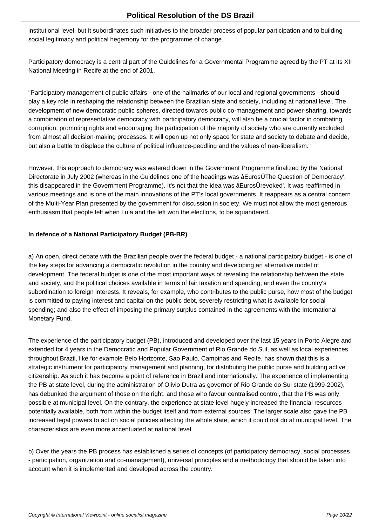institutional level, but it subordinates such initiatives to the broader process of popular participation and to building social legitimacy and political hegemony for the programme of change.

Participatory democracy is a central part of the Guidelines for a Governmental Programme agreed by the PT at its XII National Meeting in Recife at the end of 2001.

"Participatory management of public affairs - one of the hallmarks of our local and regional governments - should play a key role in reshaping the relationship between the Brazilian state and society, including at national level. The development of new democratic public spheres, directed towards public co-management and power-sharing, towards a combination of representative democracy with participatory democracy, will also be a crucial factor in combating corruption, promoting rights and encouraging the participation of the majority of society who are currently excluded from almost all decision-making processes. It will open up not only space for state and society to debate and decide, but also a battle to displace the culture of political influence-peddling and the values of neo-liberalism."

However, this approach to democracy was watered down in the Government Programme finalized by the National Directorate in July 2002 (whereas in the Guidelines one of the headings was âEurosÜThe Question of Democracy', this disappeared in the Government Programme). It's not that the idea was âEurosÜrevoked'. It was reaffirmed in various meetings and is one of the main innovations of the PT's local governments. It reappears as a central concern of the Multi-Year Plan presented by the government for discussion in society. We must not allow the most generous enthusiasm that people felt when Lula and the left won the elections, to be squandered.

# **In defence of a National Participatory Budget (PB-BR)**

a) An open, direct debate with the Brazilian people over the federal budget - a national participatory budget - is one of the key steps for advancing a democratic revolution in the country and developing an alternative model of development. The federal budget is one of the most important ways of revealing the relationship between the state and society, and the political choices available in terms of fair taxation and spending, and even the country's subordination to foreign interests. It reveals, for example, who contributes to the public purse, how most of the budget is committed to paying interest and capital on the public debt, severely restricting what is available for social spending; and also the effect of imposing the primary surplus contained in the agreements with the International Monetary Fund.

The experience of the participatory budget (PB), introduced and developed over the last 15 years in Porto Alegre and extended for 4 years in the Democratic and Popular Government of Rio Grande do Sul, as well as local experiences throughout Brazil, like for example Belo Horizonte, Sao Paulo, Campinas and Recife, has shown that this is a strategic instrument for participatory management and planning, for distributing the public purse and building active citizenship. As such it has become a point of reference in Brazil and internationally. The experience of implementing the PB at state level, during the administration of Olivio Dutra as governor of Rio Grande do Sul state (1999-2002), has debunked the argument of those on the right, and those who favour centralised control, that the PB was only possible at municipal level. On the contrary, the experience at state level hugely increased the financial resources potentially available, both from within the budget itself and from external sources. The larger scale also gave the PB increased legal powers to act on social policies affecting the whole state, which it could not do at municipal level. The characteristics are even more accentuated at national level.

b) Over the years the PB process has established a series of concepts (of participatory democracy, social processes - participation, organization and co-management), universal principles and a methodology that should be taken into account when it is implemented and developed across the country.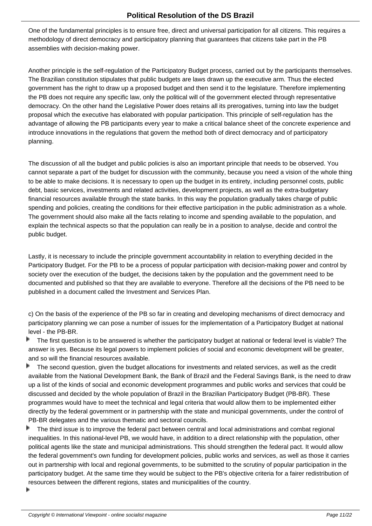One of the fundamental principles is to ensure free, direct and universal participation for all citizens. This requires a methodology of direct democracy and participatory planning that guarantees that citizens take part in the PB assemblies with decision-making power.

Another principle is the self-regulation of the Participatory Budget process, carried out by the participants themselves. The Brazilian constitution stipulates that public budgets are laws drawn up the executive arm. Thus the elected government has the right to draw up a proposed budget and then send it to the legislature. Therefore implementing the PB does not require any specific law, only the political will of the government elected through representative democracy. On the other hand the Legislative Power does retains all its prerogatives, turning into law the budget proposal which the executive has elaborated with popular participation. This principle of self-regulation has the advantage of allowing the PB participants every year to make a critical balance sheet of the concrete experience and introduce innovations in the regulations that govern the method both of direct democracy and of participatory planning.

The discussion of all the budget and public policies is also an important principle that needs to be observed. You cannot separate a part of the budget for discussion with the community, because you need a vision of the whole thing to be able to make decisions. It is necessary to open up the budget in its entirety, including personnel costs, public debt, basic services, investments and related activities, development projects, as well as the extra-budgetary financial resources available through the state banks. In this way the population gradually takes charge of public spending and policies, creating the conditions for their effective participation in the public administration as a whole. The government should also make all the facts relating to income and spending available to the population, and explain the technical aspects so that the population can really be in a position to analyse, decide and control the public budget.

Lastly, it is necessary to include the principle government accountability in relation to everything decided in the Participatory Budget. For the PB to be a process of popular participation with decision-making power and control by society over the execution of the budget, the decisions taken by the population and the government need to be documented and published so that they are available to everyone. Therefore all the decisions of the PB need to be published in a document called the Investment and Services Plan.

c) On the basis of the experience of the PB so far in creating and developing mechanisms of direct democracy and participatory planning we can pose a number of issues for the implementation of a Participatory Budget at national level - the PB-BR.

Þ The first question is to be answered is whether the participatory budget at national or federal level is viable? The answer is yes. Because its legal powers to implement policies of social and economic development will be greater, and so will the financial resources available.

 The second question, given the budget allocations for investments and related services, as well as the credit Þ available from the National Development Bank, the Bank of Brazil and the Federal Savings Bank, is the need to draw up a list of the kinds of social and economic development programmes and public works and services that could be discussed and decided by the whole population of Brazil in the Brazilian Participatory Budget (PB-BR). These programmes would have to meet the technical and legal criteria that would allow them to be implemented either directly by the federal government or in partnership with the state and municipal governments, under the control of PB-BR delegates and the various thematic and sectoral councils.

 The third issue is to improve the federal pact between central and local administrations and combat regional inequalities. In this national-level PB, we would have, in addition to a direct relationship with the population, other political agents like the state and municipal administrations. This should strengthen the federal pact. It would allow the federal government's own funding for development policies, public works and services, as well as those it carries out in partnership with local and regional governments, to be submitted to the scrutiny of popular participation in the participatory budget. At the same time they would be subject to the PB's objective criteria for a fairer redistribution of resources between the different regions, states and municipalities of the country.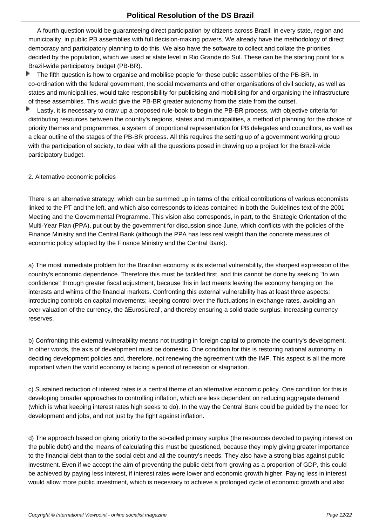A fourth question would be guaranteeing direct participation by citizens across Brazil, in every state, region and municipality, in public PB assemblies with full decision-making powers. We already have the methodology of direct democracy and participatory planning to do this. We also have the software to collect and collate the priorities decided by the population, which we used at state level in Rio Grande do Sul. These can be the starting point for a Brazil-wide participatory budget (PB-BR).

 The fifth question is how to organise and mobilise people for these public assemblies of the PB-BR. In Þ co-ordination with the federal government, the social movements and other organisations of civil society, as well as states and municipalities, would take responsibility for publicising and mobilising for and organising the infrastructure of these assemblies. This would give the PB-BR greater autonomy from the state from the outset.

Þ Lastly, it is necessary to draw up a proposed rule-book to begin the PB-BR process, with objective criteria for distributing resources between the country's regions, states and municipalities, a method of planning for the choice of priority themes and programmes, a system of proportional representation for PB delegates and councillors, as well as a clear outline of the stages of the PB-BR process. All this requires the setting up of a government working group with the participation of society, to deal with all the questions posed in drawing up a project for the Brazil-wide participatory budget.

#### 2. Alternative economic policies

There is an alternative strategy, which can be summed up in terms of the critical contributions of various economists linked to the PT and the left, and which also corresponds to ideas contained in both the Guidelines text of the 2001 Meeting and the Governmental Programme. This vision also corresponds, in part, to the Strategic Orientation of the Multi-Year Plan (PPA), put out by the government for discussion since June, which conflicts with the policies of the Finance Ministry and the Central Bank (although the PPA has less real weight than the concrete measures of economic policy adopted by the Finance Ministry and the Central Bank).

a) The most immediate problem for the Brazilian economy is its external vulnerability, the sharpest expression of the country's economic dependence. Therefore this must be tackled first, and this cannot be done by seeking "to win confidence" through greater fiscal adjustment, because this in fact means leaving the economy hanging on the interests and whims of the financial markets. Confronting this external vulnerability has at least three aspects: introducing controls on capital movements; keeping control over the fluctuations in exchange rates, avoiding an over-valuation of the currency, the âEurosÜreal', and thereby ensuring a solid trade surplus; increasing currency reserves.

b) Confronting this external vulnerability means not trusting in foreign capital to promote the country's development. In other words, the axis of development must be domestic. One condition for this is restoring national autonomy in deciding development policies and, therefore, not renewing the agreement with the IMF. This aspect is all the more important when the world economy is facing a period of recession or stagnation.

c) Sustained reduction of interest rates is a central theme of an alternative economic policy. One condition for this is developing broader approaches to controlling inflation, which are less dependent on reducing aggregate demand (which is what keeping interest rates high seeks to do). In the way the Central Bank could be guided by the need for development and jobs, and not just by the fight against inflation.

d) The approach based on giving priority to the so-called primary surplus (the resources devoted to paying interest on the public debt) and the means of calculating this must be questioned, because they imply giving greater importance to the financial debt than to the social debt and all the country's needs. They also have a strong bias against public investment. Even if we accept the aim of preventing the public debt from growing as a proportion of GDP, this could be achieved by paying less interest, if interest rates were lower and economic growth higher. Paying less in interest would allow more public investment, which is necessary to achieve a prolonged cycle of economic growth and also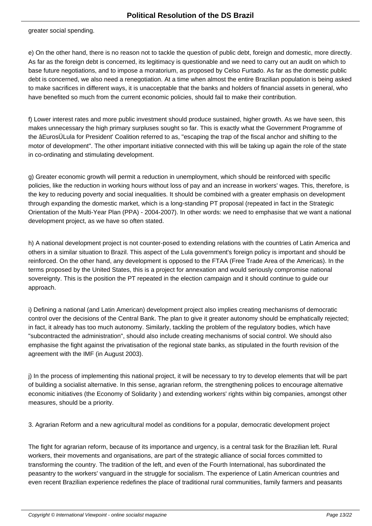greater social spending.

e) On the other hand, there is no reason not to tackle the question of public debt, foreign and domestic, more directly. As far as the foreign debt is concerned, its legitimacy is questionable and we need to carry out an audit on which to base future negotiations, and to impose a moratorium, as proposed by Celso Furtado. As far as the domestic public debt is concerned, we also need a renegotiation. At a time when almost the entire Brazilian population is being asked to make sacrifices in different ways, it is unacceptable that the banks and holders of financial assets in general, who have benefited so much from the current economic policies, should fail to make their contribution.

f) Lower interest rates and more public investment should produce sustained, higher growth. As we have seen, this makes unnecessary the high primary surpluses sought so far. This is exactly what the Government Programme of the âEurosÜLula for President' Coalition referred to as, "escaping the trap of the fiscal anchor and shifting to the motor of development". The other important initiative connected with this will be taking up again the role of the state in co-ordinating and stimulating development.

g) Greater economic growth will permit a reduction in unemployment, which should be reinforced with specific policies, like the reduction in working hours without loss of pay and an increase in workers' wages. This, therefore, is the key to reducing poverty and social inequalities. It should be combined with a greater emphasis on development through expanding the domestic market, which is a long-standing PT proposal (repeated in fact in the Strategic Orientation of the Multi-Year Plan (PPA) - 2004-2007). In other words: we need to emphasise that we want a national development project, as we have so often stated.

h) A national development project is not counter-posed to extending relations with the countries of Latin America and others in a similar situation to Brazil. This aspect of the Lula government's foreign policy is important and should be reinforced. On the other hand, any development is opposed to the FTAA (Free Trade Area of the Americas). In the terms proposed by the United States, this is a project for annexation and would seriously compromise national sovereignty. This is the position the PT repeated in the election campaign and it should continue to guide our approach.

i) Defining a national (and Latin American) development project also implies creating mechanisms of democratic control over the decisions of the Central Bank. The plan to give it greater autonomy should be emphatically rejected; in fact, it already has too much autonomy. Similarly, tackling the problem of the regulatory bodies, which have "subcontracted the administration", should also include creating mechanisms of social control. We should also emphasise the fight against the privatisation of the regional state banks, as stipulated in the fourth revision of the agreement with the IMF (in August 2003).

j) In the process of implementing this national project, it will be necessary to try to develop elements that will be part of building a socialist alternative. In this sense, agrarian reform, the strengthening polices to encourage alternative economic initiatives (the Economy of Solidarity ) and extending workers' rights within big companies, amongst other measures, should be a priority.

3. Agrarian Reform and a new agricultural model as conditions for a popular, democratic development project

The fight for agrarian reform, because of its importance and urgency, is a central task for the Brazilian left. Rural workers, their movements and organisations, are part of the strategic alliance of social forces committed to transforming the country. The tradition of the left, and even of the Fourth International, has subordinated the peasantry to the workers' vanguard in the struggle for socialism. The experience of Latin American countries and even recent Brazilian experience redefines the place of traditional rural communities, family farmers and peasants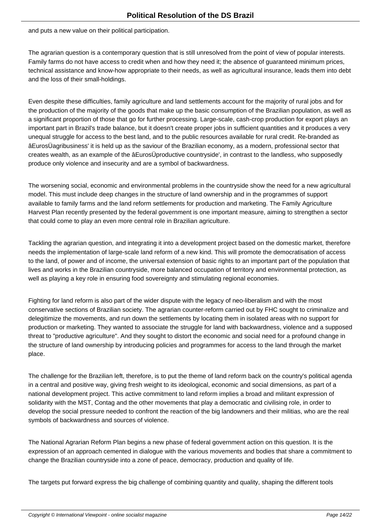and puts a new value on their political participation.

The agrarian question is a contemporary question that is still unresolved from the point of view of popular interests. Family farms do not have access to credit when and how they need it; the absence of guaranteed minimum prices, technical assistance and know-how appropriate to their needs, as well as agricultural insurance, leads them into debt and the loss of their small-holdings.

Even despite these difficulties, family agriculture and land settlements account for the majority of rural jobs and for the production of the majority of the goods that make up the basic consumption of the Brazilian population, as well as a significant proportion of those that go for further processing. Large-scale, cash-crop production for export plays an important part in Brazil's trade balance, but it doesn't create proper jobs in sufficient quantities and it produces a very unequal struggle for access to the best land, and to the public resources available for rural credit. Re-branded as âEurosÜagribusiness' it is held up as the saviour of the Brazilian economy, as a modern, professional sector that creates wealth, as an example of the âEurosÜproductive countryside', in contrast to the landless, who supposedly produce only violence and insecurity and are a symbol of backwardness.

The worsening social, economic and environmental problems in the countryside show the need for a new agricultural model. This must include deep changes in the structure of land ownership and in the programmes of support available to family farms and the land reform settlements for production and marketing. The Family Agriculture Harvest Plan recently presented by the federal government is one important measure, aiming to strengthen a sector that could come to play an even more central role in Brazilian agriculture.

Tackling the agrarian question, and integrating it into a development project based on the domestic market, therefore needs the implementation of large-scale land reform of a new kind. This will promote the democratisation of access to the land, of power and of income, the universal extension of basic rights to an important part of the population that lives and works in the Brazilian countryside, more balanced occupation of territory and environmental protection, as well as playing a key role in ensuring food sovereignty and stimulating regional economies.

Fighting for land reform is also part of the wider dispute with the legacy of neo-liberalism and with the most conservative sections of Brazilian society. The agrarian counter-reform carried out by FHC sought to criminalize and delegitimize the movements, and run down the settlements by locating them in isolated areas with no support for production or marketing. They wanted to associate the struggle for land with backwardness, violence and a supposed threat to "productive agriculture". And they sought to distort the economic and social need for a profound change in the structure of land ownership by introducing policies and programmes for access to the land through the market place.

The challenge for the Brazilian left, therefore, is to put the theme of land reform back on the country's political agenda in a central and positive way, giving fresh weight to its ideological, economic and social dimensions, as part of a national development project. This active commitment to land reform implies a broad and militant expression of solidarity with the MST, Contag and the other movements that play a democratic and civilising role, in order to develop the social pressure needed to confront the reaction of the big landowners and their militias, who are the real symbols of backwardness and sources of violence.

The National Agrarian Reform Plan begins a new phase of federal government action on this question. It is the expression of an approach cemented in dialogue with the various movements and bodies that share a commitment to change the Brazilian countryside into a zone of peace, democracy, production and quality of life.

The targets put forward express the big challenge of combining quantity and quality, shaping the different tools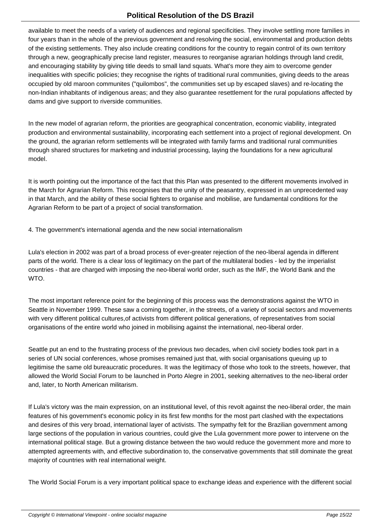available to meet the needs of a variety of audiences and regional specificities. They involve settling more families in four years than in the whole of the previous government and resolving the social, environmental and production debts of the existing settlements. They also include creating conditions for the country to regain control of its own territory through a new, geographically precise land register, measures to reorganise agrarian holdings through land credit, and encouraging stability by giving title deeds to small land squats. What's more they aim to overcome gender inequalities with specific policies; they recognise the rights of traditional rural communities, giving deeds to the areas occupied by old maroon communites ("quilombos", the communities set up by escaped slaves) and re-locating the non-Indian inhabitants of indigenous areas; and they also guarantee resettlement for the rural populations affected by dams and give support to riverside communities.

In the new model of agrarian reform, the priorities are geographical concentration, economic viability, integrated production and environmental sustainability, incorporating each settlement into a project of regional development. On the ground, the agrarian reform settlements will be integrated with family farms and traditional rural communities through shared structures for marketing and industrial processing, laying the foundations for a new agricultural model.

It is worth pointing out the importance of the fact that this Plan was presented to the different movements involved in the March for Agrarian Reform. This recognises that the unity of the peasantry, expressed in an unprecedented way in that March, and the ability of these social fighters to organise and mobilise, are fundamental conditions for the Agrarian Reform to be part of a project of social transformation.

4. The government's international agenda and the new social internationalism

Lula's election in 2002 was part of a broad process of ever-greater rejection of the neo-liberal agenda in different parts of the world. There is a clear loss of legitimacy on the part of the multilateral bodies - led by the imperialist countries - that are charged with imposing the neo-liberal world order, such as the IMF, the World Bank and the WTO.

The most important reference point for the beginning of this process was the demonstrations against the WTO in Seattle in November 1999. These saw a coming together, in the streets, of a variety of social sectors and movements with very different political cultures,of activists from different political generations, of representatives from social organisations of the entire world who joined in mobilising against the international, neo-liberal order.

Seattle put an end to the frustrating process of the previous two decades, when civil society bodies took part in a series of UN social conferences, whose promises remained just that, with social organisations queuing up to legitimise the same old bureaucratic procedures. It was the legitimacy of those who took to the streets, however, that allowed the World Social Forum to be launched in Porto Alegre in 2001, seeking alternatives to the neo-liberal order and, later, to North American militarism.

If Lula's victory was the main expression, on an institutional level, of this revolt against the neo-liberal order, the main features of his government's economic policy in its first few months for the most part clashed with the expectations and desires of this very broad, international layer of activists. The sympathy felt for the Brazilian government among large sections of the population in various countries, could give the Lula government more power to intervene on the international political stage. But a growing distance between the two would reduce the government more and more to attempted agreements with, and effective subordination to, the conservative governments that still dominate the great majority of countries with real international weight.

The World Social Forum is a very important political space to exchange ideas and experience with the different social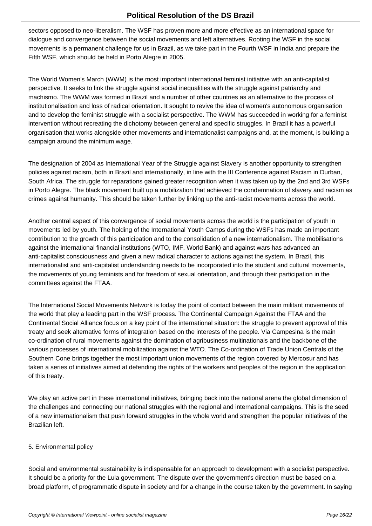sectors opposed to neo-liberalism. The WSF has proven more and more effective as an international space for dialogue and convergence between the social movements and left alternatives. Rooting the WSF in the social movements is a permanent challenge for us in Brazil, as we take part in the Fourth WSF in India and prepare the Fifth WSF, which should be held in Porto Alegre in 2005.

The World Women's March (WWM) is the most important international feminist initiative with an anti-capitalist perspective. It seeks to link the struggle against social inequalities with the struggle against patriarchy and machismo. The WWM was formed in Brazil and a number of other countries as an alternative to the process of institutionalisation and loss of radical orientation. It sought to revive the idea of women's autonomous organisation and to develop the feminist struggle with a socialist perspective. The WWM has succeeded in working for a feminist intervention without recreating the dichotomy between general and specific struggles. In Brazil it has a powerful organisation that works alongside other movements and internationalist campaigns and, at the moment, is building a campaign around the minimum wage.

The designation of 2004 as International Year of the Struggle against Slavery is another opportunity to strengthen policies against racism, both in Brazil and internationally, in line with the III Conference against Racism in Durban, South Africa. The struggle for reparations gained greater recognition when it was taken up by the 2nd and 3rd WSFs in Porto Alegre. The black movement built up a mobilization that achieved the condemnation of slavery and racism as crimes against humanity. This should be taken further by linking up the anti-racist movements across the world.

Another central aspect of this convergence of social movements across the world is the participation of youth in movements led by youth. The holding of the International Youth Camps during the WSFs has made an important contribution to the growth of this participation and to the consolidation of a new internationalism. The mobilisations against the international financial institutions (WTO, IMF, World Bank) and against wars has advanced an anti-capitalist consciousness and given a new radical character to actions against the system. In Brazil, this internationalist and anti-capitalist understanding needs to be incorporated into the student and cultural movements, the movements of young feminists and for freedom of sexual orientation, and through their participation in the committees against the FTAA.

The International Social Movements Network is today the point of contact between the main militant movements of the world that play a leading part in the WSF process. The Continental Campaign Against the FTAA and the Continental Social Alliance focus on a key point of the international situation: the struggle to prevent approval of this treaty and seek alternative forms of integration based on the interests of the people. Via Campesina is the main co-ordination of rural movements against the domination of agribusiness multinationals and the backbone of the various processes of international mobilization against the WTO. The Co-ordination of Trade Union Centrals of the Southern Cone brings together the most important union movements of the region covered by Mercosur and has taken a series of initiatives aimed at defending the rights of the workers and peoples of the region in the application of this treaty.

We play an active part in these international initiatives, bringing back into the national arena the global dimension of the challenges and connecting our national struggles with the regional and international campaigns. This is the seed of a new internationalism that push forward struggles in the whole world and strengthen the popular initiatives of the Brazilian left.

# 5. Environmental policy

Social and environmental sustainability is indispensable for an approach to development with a socialist perspective. It should be a priority for the Lula government. The dispute over the government's direction must be based on a broad platform, of programmatic dispute in society and for a change in the course taken by the government. In saying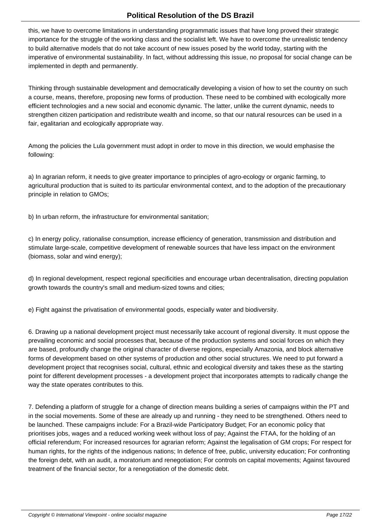this, we have to overcome limitations in understanding programmatic issues that have long proved their strategic importance for the struggle of the working class and the socialist left. We have to overcome the unrealistic tendency to build alternative models that do not take account of new issues posed by the world today, starting with the imperative of environmental sustainability. In fact, without addressing this issue, no proposal for social change can be implemented in depth and permanently.

Thinking through sustainable development and democratically developing a vision of how to set the country on such a course, means, therefore, proposing new forms of production. These need to be combined with ecologically more efficient technologies and a new social and economic dynamic. The latter, unlike the current dynamic, needs to strengthen citizen participation and redistribute wealth and income, so that our natural resources can be used in a fair, egalitarian and ecologically appropriate way.

Among the policies the Lula government must adopt in order to move in this direction, we would emphasise the following:

a) In agrarian reform, it needs to give greater importance to principles of agro-ecology or organic farming, to agricultural production that is suited to its particular environmental context, and to the adoption of the precautionary principle in relation to GMOs;

b) In urban reform, the infrastructure for environmental sanitation;

c) In energy policy, rationalise consumption, increase efficiency of generation, transmission and distribution and stimulate large-scale, competitive development of renewable sources that have less impact on the environment (biomass, solar and wind energy);

d) In regional development, respect regional specificities and encourage urban decentralisation, directing population growth towards the country's small and medium-sized towns and cities;

e) Fight against the privatisation of environmental goods, especially water and biodiversity.

6. Drawing up a national development project must necessarily take account of regional diversity. It must oppose the prevailing economic and social processes that, because of the production systems and social forces on which they are based, profoundly change the original character of diverse regions, especially Amazonia, and block alternative forms of development based on other systems of production and other social structures. We need to put forward a development project that recognises social, cultural, ethnic and ecological diversity and takes these as the starting point for different development processes - a development project that incorporates attempts to radically change the way the state operates contributes to this.

7. Defending a platform of struggle for a change of direction means building a series of campaigns within the PT and in the social movements. Some of these are already up and running - they need to be strengthened. Others need to be launched. These campaigns include: For a Brazil-wide Participatory Budget; For an economic policy that prioritises jobs, wages and a reduced working week without loss of pay; Against the FTAA, for the holding of an official referendum; For increased resources for agrarian reform; Against the legalisation of GM crops; For respect for human rights, for the rights of the indigenous nations; In defence of free, public, university education; For confronting the foreign debt, with an audit, a moratorium and renegotiation; For controls on capital movements; Against favoured treatment of the financial sector, for a renegotiation of the domestic debt.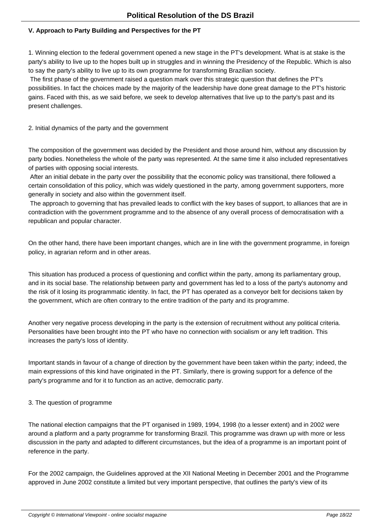#### **V. Approach to Party Building and Perspectives for the PT**

1. Winning election to the federal government opened a new stage in the PT's development. What is at stake is the party's ability to live up to the hopes built up in struggles and in winning the Presidency of the Republic. Which is also to say the party's ability to live up to its own programme for transforming Brazilian society.

 The first phase of the government raised a question mark over this strategic question that defines the PT's possibilities. In fact the choices made by the majority of the leadership have done great damage to the PT's historic gains. Faced with this, as we said before, we seek to develop alternatives that live up to the party's past and its present challenges.

2. Initial dynamics of the party and the government

The composition of the government was decided by the President and those around him, without any discussion by party bodies. Nonetheless the whole of the party was represented. At the same time it also included representatives of parties with opposing social interests.

 After an initial debate in the party over the possibility that the economic policy was transitional, there followed a certain consolidation of this policy, which was widely questioned in the party, among government supporters, more generally in society and also within the government itself.

 The approach to governing that has prevailed leads to conflict with the key bases of support, to alliances that are in contradiction with the government programme and to the absence of any overall process of democratisation with a republican and popular character.

On the other hand, there have been important changes, which are in line with the government programme, in foreign policy, in agrarian reform and in other areas.

This situation has produced a process of questioning and conflict within the party, among its parliamentary group, and in its social base. The relationship between party and government has led to a loss of the party's autonomy and the risk of it losing its programmatic identity. In fact, the PT has operated as a conveyor belt for decisions taken by the government, which are often contrary to the entire tradition of the party and its programme.

Another very negative process developing in the party is the extension of recruitment without any political criteria. Personalities have been brought into the PT who have no connection with socialism or any left tradition. This increases the party's loss of identity.

Important stands in favour of a change of direction by the government have been taken within the party; indeed, the main expressions of this kind have originated in the PT. Similarly, there is growing support for a defence of the party's programme and for it to function as an active, democratic party.

# 3. The question of programme

The national election campaigns that the PT organised in 1989, 1994, 1998 (to a lesser extent) and in 2002 were around a platform and a party programme for transforming Brazil. This programme was drawn up with more or less discussion in the party and adapted to different circumstances, but the idea of a programme is an important point of reference in the party.

For the 2002 campaign, the Guidelines approved at the XII National Meeting in December 2001 and the Programme approved in June 2002 constitute a limited but very important perspective, that outlines the party's view of its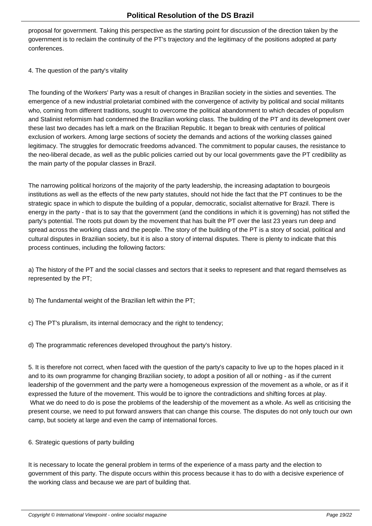proposal for government. Taking this perspective as the starting point for discussion of the direction taken by the government is to reclaim the continuity of the PT's trajectory and the legitimacy of the positions adopted at party conferences.

#### 4. The question of the party's vitality

The founding of the Workers' Party was a result of changes in Brazilian society in the sixties and seventies. The emergence of a new industrial proletariat combined with the convergence of activity by political and social militants who, coming from different traditions, sought to overcome the political abandonment to which decades of populism and Stalinist reformism had condemned the Brazilian working class. The building of the PT and its development over these last two decades has left a mark on the Brazilian Republic. It began to break with centuries of political exclusion of workers. Among large sections of society the demands and actions of the working classes gained legitimacy. The struggles for democratic freedoms advanced. The commitment to popular causes, the resistance to the neo-liberal decade, as well as the public policies carried out by our local governments gave the PT credibility as the main party of the popular classes in Brazil.

The narrowing political horizons of the majority of the party leadership, the increasing adaptation to bourgeois institutions as well as the effects of the new party statutes, should not hide the fact that the PT continues to be the strategic space in which to dispute the building of a popular, democratic, socialist alternative for Brazil. There is energy in the party - that is to say that the government (and the conditions in which it is governing) has not stifled the party's potential. The roots put down by the movement that has built the PT over the last 23 years run deep and spread across the working class and the people. The story of the building of the PT is a story of social, political and cultural disputes in Brazilian society, but it is also a story of internal disputes. There is plenty to indicate that this process continues, including the following factors:

a) The history of the PT and the social classes and sectors that it seeks to represent and that regard themselves as represented by the PT;

b) The fundamental weight of the Brazilian left within the PT;

c) The PT's pluralism, its internal democracy and the right to tendency;

d) The programmatic references developed throughout the party's history.

5. It is therefore not correct, when faced with the question of the party's capacity to live up to the hopes placed in it and to its own programme for changing Brazilian society, to adopt a position of all or nothing - as if the current leadership of the government and the party were a homogeneous expression of the movement as a whole, or as if it expressed the future of the movement. This would be to ignore the contradictions and shifting forces at play. What we do need to do is pose the problems of the leadership of the movement as a whole. As well as criticising the present course, we need to put forward answers that can change this course. The disputes do not only touch our own camp, but society at large and even the camp of international forces.

#### 6. Strategic questions of party building

It is necessary to locate the general problem in terms of the experience of a mass party and the election to government of this party. The dispute occurs within this process because it has to do with a decisive experience of the working class and because we are part of building that.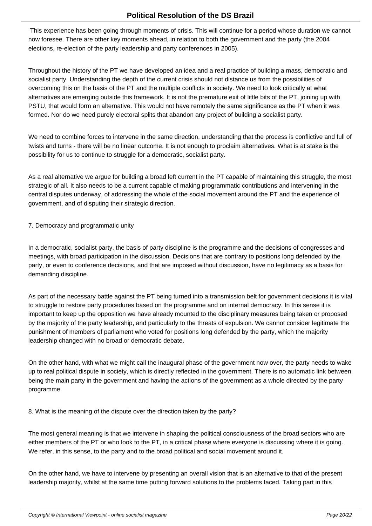This experience has been going through moments of crisis. This will continue for a period whose duration we cannot now foresee. There are other key moments ahead, in relation to both the government and the party (the 2004 elections, re-election of the party leadership and party conferences in 2005).

Throughout the history of the PT we have developed an idea and a real practice of building a mass, democratic and socialist party. Understanding the depth of the current crisis should not distance us from the possibilities of overcoming this on the basis of the PT and the multiple conflicts in society. We need to look critically at what alternatives are emerging outside this framework. It is not the premature exit of little bits of the PT, joining up with PSTU, that would form an alternative. This would not have remotely the same significance as the PT when it was formed. Nor do we need purely electoral splits that abandon any project of building a socialist party.

We need to combine forces to intervene in the same direction, understanding that the process is conflictive and full of twists and turns - there will be no linear outcome. It is not enough to proclaim alternatives. What is at stake is the possibility for us to continue to struggle for a democratic, socialist party.

As a real alternative we argue for building a broad left current in the PT capable of maintaining this struggle, the most strategic of all. It also needs to be a current capable of making programmatic contributions and intervening in the central disputes underway, of addressing the whole of the social movement around the PT and the experience of government, and of disputing their strategic direction.

7. Democracy and programmatic unity

In a democratic, socialist party, the basis of party discipline is the programme and the decisions of congresses and meetings, with broad participation in the discussion. Decisions that are contrary to positions long defended by the party, or even to conference decisions, and that are imposed without discussion, have no legitimacy as a basis for demanding discipline.

As part of the necessary battle against the PT being turned into a transmission belt for government decisions it is vital to struggle to restore party procedures based on the programme and on internal democracy. In this sense it is important to keep up the opposition we have already mounted to the disciplinary measures being taken or proposed by the majority of the party leadership, and particularly to the threats of expulsion. We cannot consider legitimate the punishment of members of parliament who voted for positions long defended by the party, which the majority leadership changed with no broad or democratic debate.

On the other hand, with what we might call the inaugural phase of the government now over, the party needs to wake up to real political dispute in society, which is directly reflected in the government. There is no automatic link between being the main party in the government and having the actions of the government as a whole directed by the party programme.

8. What is the meaning of the dispute over the direction taken by the party?

The most general meaning is that we intervene in shaping the political consciousness of the broad sectors who are either members of the PT or who look to the PT, in a critical phase where everyone is discussing where it is going. We refer, in this sense, to the party and to the broad political and social movement around it.

On the other hand, we have to intervene by presenting an overall vision that is an alternative to that of the present leadership majority, whilst at the same time putting forward solutions to the problems faced. Taking part in this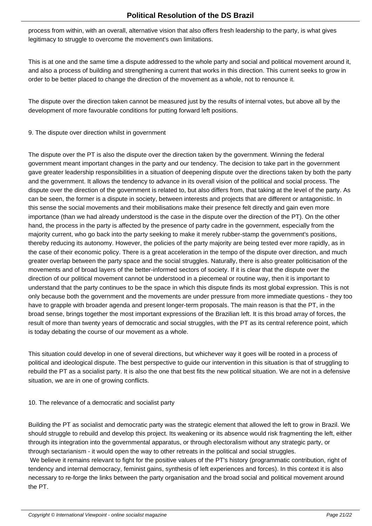process from within, with an overall, alternative vision that also offers fresh leadership to the party, is what gives legitimacy to struggle to overcome the movement's own limitations.

This is at one and the same time a dispute addressed to the whole party and social and political movement around it, and also a process of building and strengthening a current that works in this direction. This current seeks to grow in order to be better placed to change the direction of the movement as a whole, not to renounce it.

The dispute over the direction taken cannot be measured just by the results of internal votes, but above all by the development of more favourable conditions for putting forward left positions.

### 9. The dispute over direction whilst in government

The dispute over the PT is also the dispute over the direction taken by the government. Winning the federal government meant important changes in the party and our tendency. The decision to take part in the government gave greater leadership responsibilities in a situation of deepening dispute over the directions taken by both the party and the government. It allows the tendency to advance in its overall vision of the political and social process. The dispute over the direction of the government is related to, but also differs from, that taking at the level of the party. As can be seen, the former is a dispute in society, between interests and projects that are different or antagonistic. In this sense the social movements and their mobilisations make their presence felt directly and gain even more importance (than we had already understood is the case in the dispute over the direction of the PT). On the other hand, the process in the party is affected by the presence of party cadre in the government, especially from the majority current, who go back into the party seeking to make it merely rubber-stamp the government's positions, thereby reducing its autonomy. However, the policies of the party majority are being tested ever more rapidly, as in the case of their economic policy. There is a great acceleration in the tempo of the dispute over direction, and much greater overlap between the party space and the social struggles. Naturally, there is also greater politicisation of the movements and of broad layers of the better-informed sectors of society. If it is clear that the dispute over the direction of our political movement cannot be understood in a piecemeal or routine way, then it is important to understand that the party continues to be the space in which this dispute finds its most global expression. This is not only because both the government and the movements are under pressure from more immediate questions - they too have to grapple with broader agenda and present longer-term proposals. The main reason is that the PT, in the broad sense, brings together the most important expressions of the Brazilian left. It is this broad array of forces, the result of more than twenty years of democratic and social struggles, with the PT as its central reference point, which is today debating the course of our movement as a whole.

This situation could develop in one of several directions, but whichever way it goes will be rooted in a process of political and ideological dispute. The best perspective to guide our intervention in this situation is that of struggling to rebuild the PT as a socialist party. It is also the one that best fits the new political situation. We are not in a defensive situation, we are in one of growing conflicts.

#### 10. The relevance of a democratic and socialist party

Building the PT as socialist and democratic party was the strategic element that allowed the left to grow in Brazil. We should struggle to rebuild and develop this project. Its weakening or its absence would risk fragmenting the left, either through its integration into the governmental apparatus, or through electoralism without any strategic party, or through sectarianism - it would open the way to other retreats in the political and social struggles.

 We believe it remains relevant to fight for the positive values of the PT's history (programmatic contribution, right of tendency and internal democracy, feminist gains, synthesis of left experiences and forces). In this context it is also necessary to re-forge the links between the party organisation and the broad social and political movement around the PT.